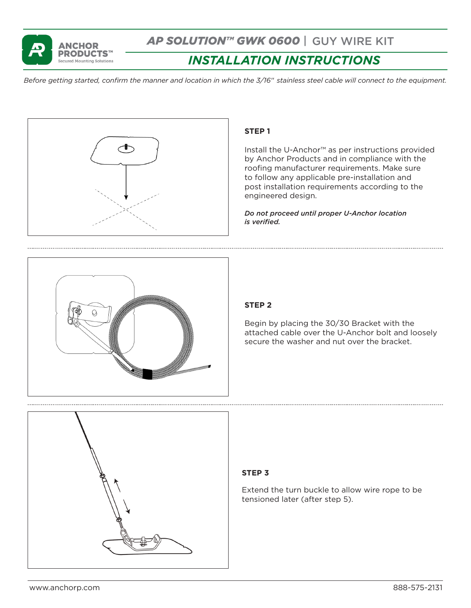

*AP SOLUTION™ GWK 0600* | GUY WIRE KIT

# *INSTALLATION INSTRUCTIONS*

*Before getting started, confirm the manner and location in which the 3/16*" *stainless steel cable will connect to the equipment.* 



## **STEP 1**

Install the U-Anchor™ as per instructions provided by Anchor Products and in compliance with the roofing manufacturer requirements. Make sure to follow any applicable pre-installation and post installation requirements according to the engineered design.

*Do not proceed until proper U-Anchor location is verified.*



# **STEP 2**

Begin by placing the 30/30 Bracket with the attached cable over the U-Anchor bolt and loosely secure the washer and nut over the bracket.



### **STEP 3**

Extend the turn buckle to allow wire rope to be tensioned later (after step 5).